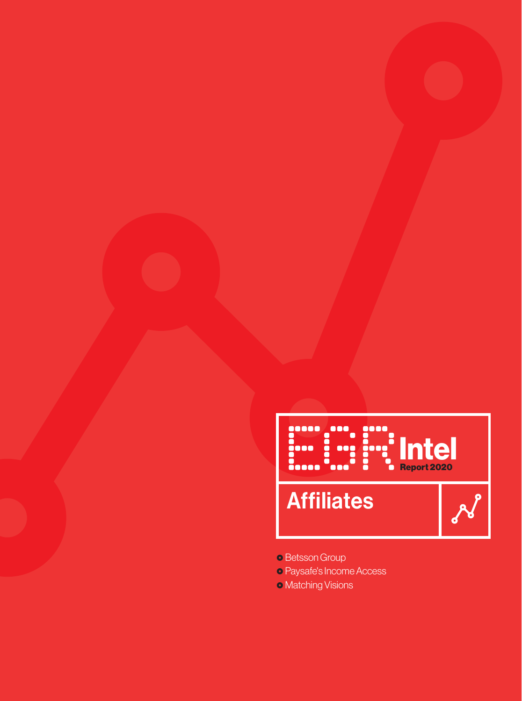# Affiliates **Intel Report 2020**

### ~ Betsson Group

- ~ Paysafe's Income Access
- Matching Visions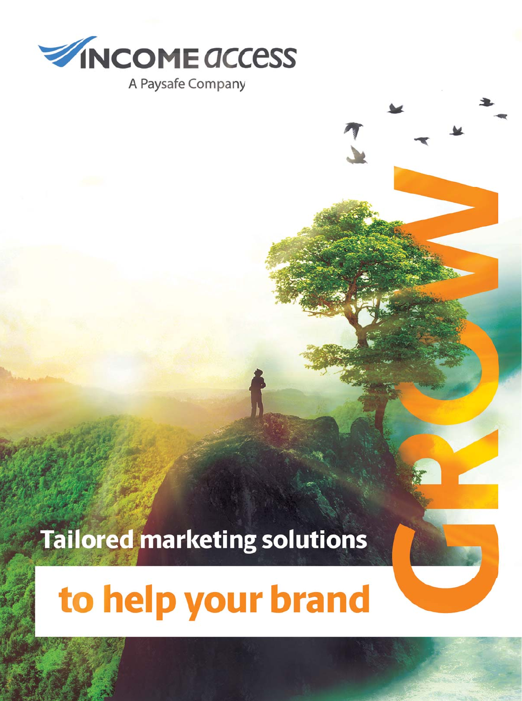

# **Tailored marketing solutions**

# to help your brand

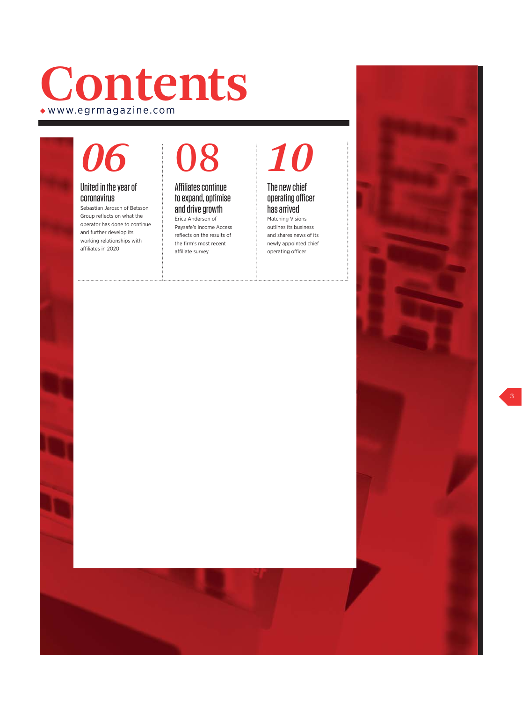## **Contents** Xwww.egrmagazine.com

# *06*

#### United in the year of coronavirus

Sebastian Jarosch of Betsson Group reflects on what the operator has done to continue and further develop its working relationships with affiliates in 2020

# 08

#### Affiliates continue to expand, optimise and drive growth Erica Anderson of

Paysafe's Income Access reflects on the results of the firm's most recent affiliate survey

### *10* The new chief

operating officer has arrived Matching Visions

outlines its business and shares news of its newly appointed chief operating officer

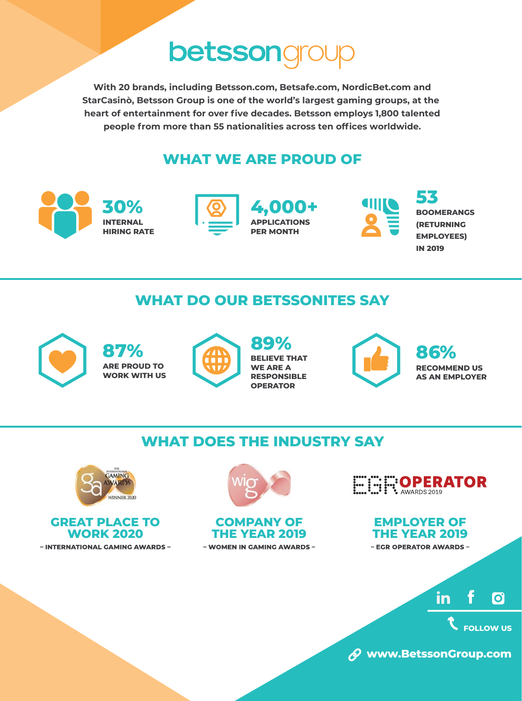## **betssongre**

**With 20 brands, including Betsson.com, Betsafe.com, NordicBet.com and StarCasinò, Betsson Group is one of the world's largest gaming groups, at the heart of entertainment for ovƵȲ˛ve decades. Betsson employs 1,800 talented people from more than 55 nationalities across ten offices worldwide.** 

### **WHAT WE ARE PROUD OF**



### **WHAT DO OUR BETSSONITES SAY**



**87% ARE PROUD TO WORK WITH US**



**89% BELIEVE THAT WE APE A RESPONSIBLE OPERATOR**



**86% RECOMMEND US A EMPLOYER** 

### **WHAT DOES THE INDUSTRY SAY**







#### **COMPANY OF THE YEAR 2019** - WOMEN IN GAMING AWARDS -

EEEE:OPERATOR

**EMPLOYER OF THE YEAR 2019** - EGR OPERATOR AWARDS -

> in **O**

> > **FOLLOW US**

**www.BetssonGroup.com**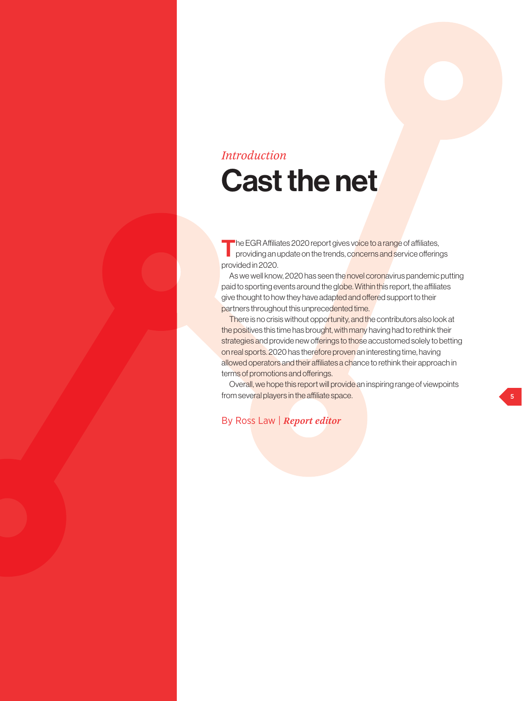### *Introduction*

## Cast the net

The EGR Affiliates 2020 report gives voice to a range of affiliates, providing an update on the trends, concerns and service offerings provided in 2020.

As we well know, 2020 has seen the novel coronavirus pandemic putting paid to sporting events around the globe. Within this report, the affiliates give thought to how they have adapted and offered support to their partners throughout this unprecedented time.

There is no crisis without opportunity, and the contributors also look at the positives this time has brought, with many having had to rethink their strategies and provide new offerings to those accustomed solely to betting on real sports. 2020 has therefore proven an interesting time, having allowed operators and their affiliates a chance to rethink their approach in terms of promotions and offerings.

Overall, we hope this report will provide an inspiring range of viewpoints from several players in the affiliate space.

By Ross Law | *Report editor*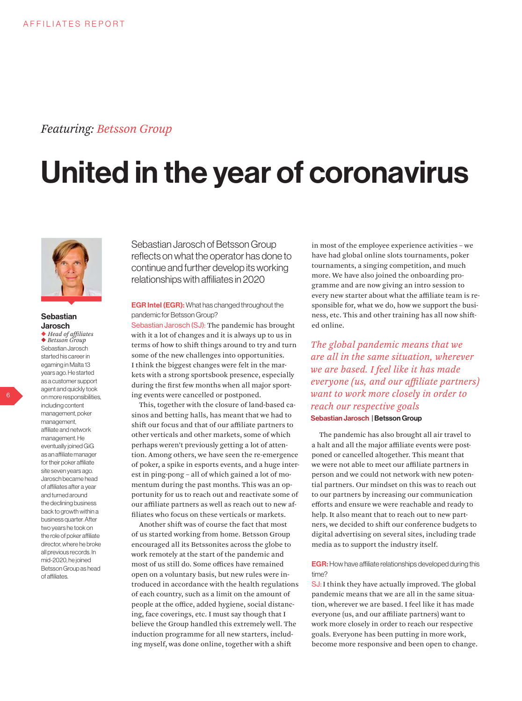### *Featuring: Betsson Group*

# United in the year of coronavirus



#### **Sebastian** Jarosch

X *Head of affiliates* ◆ *Betsson Group* Sebastian Jarosch started his career in egaming in Malta 13 years ago. He started as a customer support agent and quickly took on more responsibilities, including content management, poker management, affiliate and network management. He eventually joined GiG as an affiliate manager for their poker affiliate site seven years ago. Jarosch became head of affiliates after a year and turned around the declining business back to growth within a business quarter. After two years he took on the role of poker affiliate director, where he broke all previous records. In mid-2020, he joined Betsson Group as head of affiliates.

Sebastian Jarosch of Betsson Group reflects on what the operator has done to continue and further develop its working relationships with affiliates in 2020

**EGR Intel (EGR):** What has changed throughout the pandemic for Betsson Group?

Sebastian Jarosch (SJ): The pandemic has brought with it a lot of changes and it is always up to us in terms of how to shift things around to try and turn some of the new challenges into opportunities. I think the biggest changes were felt in the markets with a strong sportsbook presence, especially during the first few months when all major sporting events were cancelled or postponed.

This, together with the closure of land-based casinos and betting halls, has meant that we had to shift our focus and that of our affiliate partners to other verticals and other markets, some of which perhaps weren't previously getting a lot of attention. Among others, we have seen the re-emergence of poker, a spike in esports events, and a huge interest in ping-pong – all of which gained a lot of momentum during the past months. This was an opportunity for us to reach out and reactivate some of our affiliate partners as well as reach out to new affiliates who focus on these verticals or markets.

Another shift was of course the fact that most of us started working from home. Betsson Group encouraged all its Betssonites across the globe to work remotely at the start of the pandemic and most of us still do. Some offices have remained open on a voluntary basis, but new rules were introduced in accordance with the health regulations of each country, such as a limit on the amount of people at the office, added hygiene, social distancing, face coverings, etc. I must say though that I believe the Group handled this extremely well. The induction programme for all new starters, including myself, was done online, together with a shift

in most of the employee experience activities – we have had global online slots tournaments, poker tournaments, a singing competition, and much more. We have also joined the onboarding programme and are now giving an intro session to every new starter about what the affiliate team is responsible for, what we do, how we support the business, etc. This and other training has all now shifted online.

*The global pandemic means that we are all in the same situation, wherever we are based. I feel like it has made everyone (us, and our affiliate partners) want to work more closely in order to reach our respective goals* Sebastian Jarosch | Betsson Group

The pandemic has also brought all air travel to a halt and all the major affiliate events were postponed or cancelled altogether. This meant that we were not able to meet our affiliate partners in person and we could not network with new potential partners. Our mindset on this was to reach out to our partners by increasing our communication efforts and ensure we were reachable and ready to help. It also meant that to reach out to new partners, we decided to shift our conference budgets to digital advertising on several sites, including trade media as to support the industry itself.

#### EGR: How have affiliate relationships developed during this time?

SJ: I think they have actually improved. The global pandemic means that we are all in the same situation, wherever we are based. I feel like it has made everyone (us, and our affiliate partners) want to work more closely in order to reach our respective goals. Everyone has been putting in more work, become more responsive and been open to change.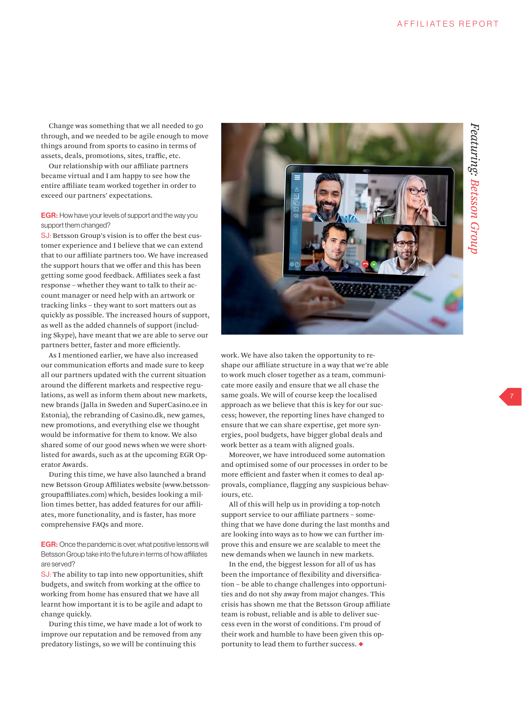Change was something that we all needed to go through, and we needed to be agile enough to move things around from sports to casino in terms of assets, deals, promotions, sites, traffic, etc.

Our relationship with our affiliate partners became virtual and I am happy to see how the entire affiliate team worked together in order to exceed our partners' expectations.

#### **EGR:** How have your levels of support and the way you support them changed?

SJ: Betsson Group's vision is to offer the best customer experience and I believe that we can extend that to our affiliate partners too. We have increased the support hours that we offer and this has been getting some good feedback. Affiliates seek a fast response – whether they want to talk to their account manager or need help with an artwork or tracking links – they want to sort matters out as quickly as possible. The increased hours of support, as well as the added channels of support (including Skype), have meant that we are able to serve our partners better, faster and more efficiently.

As I mentioned earlier, we have also increased our communication efforts and made sure to keep all our partners updated with the current situation around the different markets and respective regulations, as well as inform them about new markets, new brands (Jalla in Sweden and SuperCasino.ee in Estonia), the rebranding of Casino.dk, new games, new promotions, and everything else we thought would be informative for them to know. We also shared some of our good news when we were shortlisted for awards, such as at the upcoming EGR Operator Awards.

During this time, we have also launched a brand new Betsson Group Affiliates website (www.betssongroupaffiliates.com) which, besides looking a million times better, has added features for our affiliates, more functionality, and is faster, has more comprehensive FAQs and more.

EGR: Once the pandemic is over, what positive lessons will Betsson Group take into the future in terms of how affiliates are served?

SJ: The ability to tap into new opportunities, shift budgets, and switch from working at the office to working from home has ensured that we have all learnt how important it is to be agile and adapt to change quickly.

During this time, we have made a lot of work to improve our reputation and be removed from any predatory listings, so we will be continuing this



work. We have also taken the opportunity to reshape our affiliate structure in a way that we're able to work much closer together as a team, communicate more easily and ensure that we all chase the same goals. We will of course keep the localised approach as we believe that this is key for our success; however, the reporting lines have changed to ensure that we can share expertise, get more synergies, pool budgets, have bigger global deals and work better as a team with aligned goals.

Moreover, we have introduced some automation and optimised some of our processes in order to be more efficient and faster when it comes to deal approvals, compliance, flagging any suspicious behaviours, etc.

All of this will help us in providing a top-notch support service to our affiliate partners – something that we have done during the last months and are looking into ways as to how we can further improve this and ensure we are scalable to meet the new demands when we launch in new markets.

In the end, the biggest lesson for all of us has been the importance of flexibility and diversification – be able to change challenges into opportunities and do not shy away from major changes. This crisis has shown me that the Betsson Group affiliate team is robust, reliable and is able to deliver success even in the worst of conditions. I'm proud of their work and humble to have been given this opportunity to lead them to further success.  $\blacklozenge$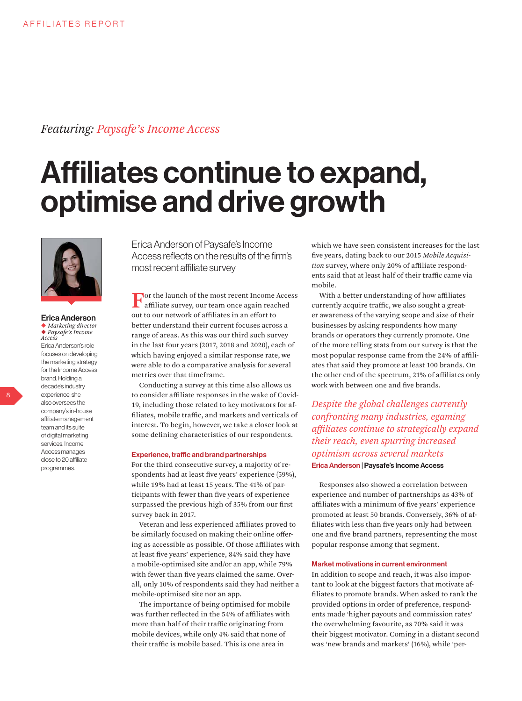### *Featuring: Paysafe's Income Access*

## Affiliates continue to expand, optimise and drive growth



#### Erica Anderson X *Marketing director* <sup>X</sup> *Paysafe's Income Access* Erica Anderson's role focuses on developing the marketing strategy for the Income Access brand. Holding a decade's industry experience, she also oversees the company's in-house affiliate management team and its suite of digital marketing services. Income Access manages close to 20 affiliate programmes.

Erica Anderson of Paysafe's Income Access reflects on the results of the firm's most recent affiliate survey

**Fo**or the launch of the most recent Income Access affiliate survey, our team once again reached out to our network of affiliates in an effort to better understand their current focuses across a range of areas. As this was our third such survey in the last four years (2017, 2018 and 2020), each of which having enjoyed a similar response rate, we were able to do a comparative analysis for several metrics over that timeframe.

Conducting a survey at this time also allows us to consider affiliate responses in the wake of Covid-19, including those related to key motivators for affiliates, mobile traffic, and markets and verticals of interest. To begin, however, we take a closer look at some defining characteristics of our respondents.

#### Experience, traffic and brand partnerships

For the third consecutive survey, a majority of respondents had at least five years' experience (59%), while 19% had at least 15 years. The 41% of participants with fewer than five years of experience surpassed the previous high of 35% from our first survey back in 2017.

Veteran and less experienced affiliates proved to be similarly focused on making their online offering as accessible as possible. Of those affiliates with at least five years' experience, 84% said they have a mobile-optimised site and/or an app, while 79% with fewer than five years claimed the same. Overall, only 10% of respondents said they had neither a mobile-optimised site nor an app.

The importance of being optimised for mobile was further reflected in the 54% of affiliates with more than half of their traffic originating from mobile devices, while only 4% said that none of their traffic is mobile based. This is one area in

which we have seen consistent increases for the last five years, dating back to our 2015 *Mobile Acquisition* survey, where only 20% of affiliate respondents said that at least half of their traffic came via mobile.

With a better understanding of how affiliates currently acquire traffic, we also sought a greater awareness of the varying scope and size of their businesses by asking respondents how many brands or operators they currently promote. One of the more telling stats from our survey is that the most popular response came from the 24% of affiliates that said they promote at least 100 brands. On the other end of the spectrum, 21% of affiliates only work with between one and five brands.

*Despite the global challenges currently confronting many industries, egaming affiliates continue to strategically expand their reach, even spurring increased optimism across several markets*  Erica Anderson | Paysafe's Income Access

Responses also showed a correlation between experience and number of partnerships as 43% of affiliates with a minimum of five years' experience promoted at least 50 brands. Conversely, 36% of affiliates with less than five years only had between one and five brand partners, representing the most popular response among that segment.

#### Market motivations in current environment

In addition to scope and reach, it was also important to look at the biggest factors that motivate affiliates to promote brands. When asked to rank the provided options in order of preference, respondents made 'higher payouts and commission rates' the overwhelming favourite, as 70% said it was their biggest motivator. Coming in a distant second was 'new brands and markets' (16%), while 'per-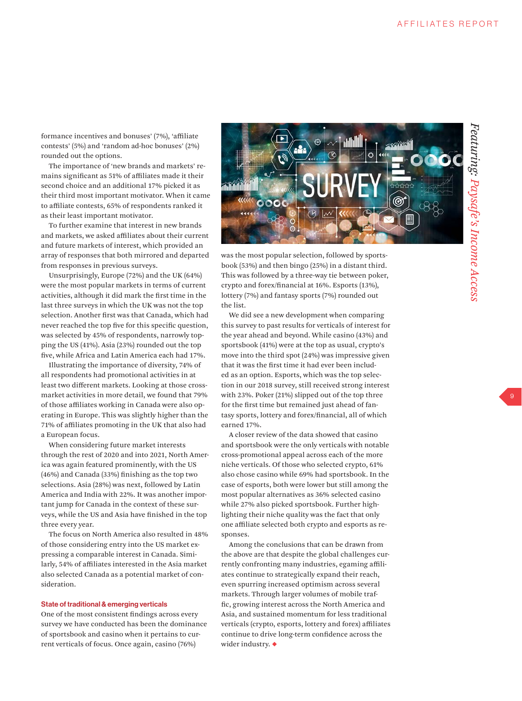formance incentives and bonuses' (7%), 'affiliate contests' (5%) and 'random ad-hoc bonuses' (2%) rounded out the options.

The importance of 'new brands and markets' remains significant as 51% of affiliates made it their second choice and an additional 17% picked it as their third most important motivator. When it came to affiliate contests, 65% of respondents ranked it as their least important motivator.

To further examine that interest in new brands and markets, we asked affiliates about their current and future markets of interest, which provided an array of responses that both mirrored and departed from responses in previous surveys.

Unsurprisingly, Europe (72%) and the UK (64%) were the most popular markets in terms of current activities, although it did mark the first time in the last three surveys in which the UK was not the top selection. Another first was that Canada, which had never reached the top five for this specific question, was selected by 45% of respondents, narrowly topping the US (41%). Asia (23%) rounded out the top five, while Africa and Latin America each had 17%.

Illustrating the importance of diversity, 74% of all respondents had promotional activities in at least two different markets. Looking at those crossmarket activities in more detail, we found that 79% of those affiliates working in Canada were also operating in Europe. This was slightly higher than the 71% of affiliates promoting in the UK that also had a European focus.

When considering future market interests through the rest of 2020 and into 2021, North America was again featured prominently, with the US (46%) and Canada (33%) finishing as the top two selections. Asia (28%) was next, followed by Latin America and India with 22%. It was another important jump for Canada in the context of these surveys, while the US and Asia have finished in the top three every year.

The focus on North America also resulted in 48% of those considering entry into the US market expressing a comparable interest in Canada. Similarly, 54% of affiliates interested in the Asia market also selected Canada as a potential market of consideration.

#### State of traditional & emerging verticals

One of the most consistent findings across every survey we have conducted has been the dominance of sportsbook and casino when it pertains to current verticals of focus. Once again, casino (76%)



was the most popular selection, followed by sportsbook (53%) and then bingo (25%) in a distant third. This was followed by a three-way tie between poker, crypto and forex/financial at 16%. Esports (13%), lottery (7%) and fantasy sports (7%) rounded out the list.

We did see a new development when comparing this survey to past results for verticals of interest for the year ahead and beyond. While casino (43%) and sportsbook (41%) were at the top as usual, crypto's move into the third spot (24%) was impressive given that it was the first time it had ever been included as an option. Esports, which was the top selection in our 2018 survey, still received strong interest with 23%. Poker (21%) slipped out of the top three for the first time but remained just ahead of fantasy sports, lottery and forex/financial, all of which earned 17%.

A closer review of the data showed that casino and sportsbook were the only verticals with notable cross-promotional appeal across each of the more niche verticals. Of those who selected crypto, 61% also chose casino while 69% had sportsbook. In the case of esports, both were lower but still among the most popular alternatives as 36% selected casino while 27% also picked sportsbook. Further highlighting their niche quality was the fact that only one affiliate selected both crypto and esports as responses.

Among the conclusions that can be drawn from the above are that despite the global challenges currently confronting many industries, egaming affiliates continue to strategically expand their reach, even spurring increased optimism across several markets. Through larger volumes of mobile traffic, growing interest across the North America and Asia, and sustained momentum for less traditional verticals (crypto, esports, lottery and forex) affiliates continue to drive long-term confidence across the wider industry.  $\blacklozenge$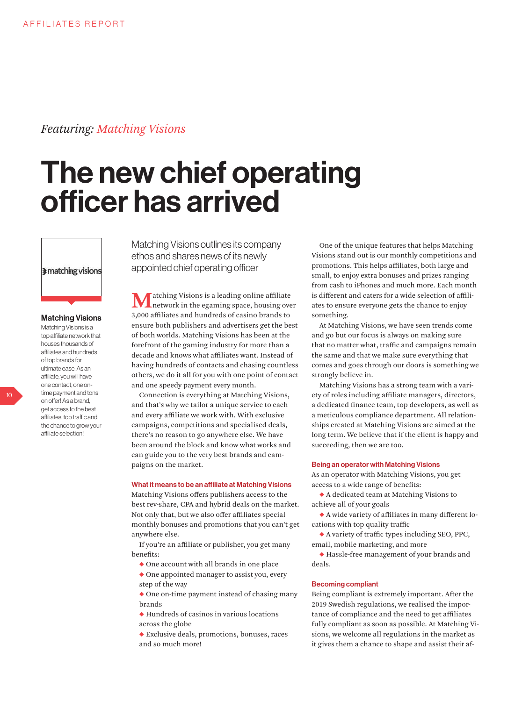### *Featuring: Matching Visions*

## The new chief operating officer has arrived

**I** matching visions

#### Matching Visions

Matching Visions is a top affiliate network that houses thousands of affiliates and hundreds of top brands for ultimate ease. As an affiliate, you will have one contact, one ontime payment and tons on offer! As a brand, get access to the best affiliates, top traffic and the chance to grow your affiliate selection!

Matching Visions outlines its company ethos and shares news of its newly appointed chief operating officer

atching Visions is a leading online affiliate network in the egaming space, housing over 3,000 affiliates and hundreds of casino brands to ensure both publishers and advertisers get the best of both worlds. Matching Visions has been at the forefront of the gaming industry for more than a decade and knows what affiliates want. Instead of having hundreds of contacts and chasing countless others, we do it all for you with one point of contact and one speedy payment every month.

Connection is everything at Matching Visions, and that's why we tailor a unique service to each and every affiliate we work with. With exclusive campaigns, competitions and specialised deals, there's no reason to go anywhere else. We have been around the block and know what works and can guide you to the very best brands and campaigns on the market.

#### What it means to be an affiliate at Matching Visions

Matching Visions offers publishers access to the best rev-share, CPA and hybrid deals on the market. Not only that, but we also offer affiliates special monthly bonuses and promotions that you can't get anywhere else.

If you're an affiliate or publisher, you get many benefits:

- $\blacklozenge$  One account with all brands in one place
- $\bullet$  One appointed manager to assist you, every step of the way
- $\triangle$  One on-time payment instead of chasing many brands
- $\blacklozenge$  Hundreds of casinos in various locations across the globe
- $\blacklozenge$  Exclusive deals, promotions, bonuses, races and so much more!

One of the unique features that helps Matching Visions stand out is our monthly competitions and promotions. This helps affiliates, both large and small, to enjoy extra bonuses and prizes ranging from cash to iPhones and much more. Each month is different and caters for a wide selection of affiliates to ensure everyone gets the chance to enjoy something.

At Matching Visions, we have seen trends come and go but our focus is always on making sure that no matter what, traffic and campaigns remain the same and that we make sure everything that comes and goes through our doors is something we strongly believe in.

Matching Visions has a strong team with a variety of roles including affiliate managers, directors, a dedicated finance team, top developers, as well as a meticulous compliance department. All relationships created at Matching Visions are aimed at the long term. We believe that if the client is happy and succeeding, then we are too.

#### Being an operator with Matching Visions

As an operator with Matching Visions, you get access to a wide range of benefits:

XA dedicated team at Matching Visions to achieve all of your goals

 $\blacklozenge$  A wide variety of affiliates in many different locations with top quality traffic

 $\blacklozenge$  A variety of traffic types including SEO, PPC, email, mobile marketing, and more

XHassle-free management of your brands and deals.

#### Becoming compliant

Being compliant is extremely important. After the 2019 Swedish regulations, we realised the importance of compliance and the need to get affiliates fully compliant as soon as possible. At Matching Visions, we welcome all regulations in the market as it gives them a chance to shape and assist their af-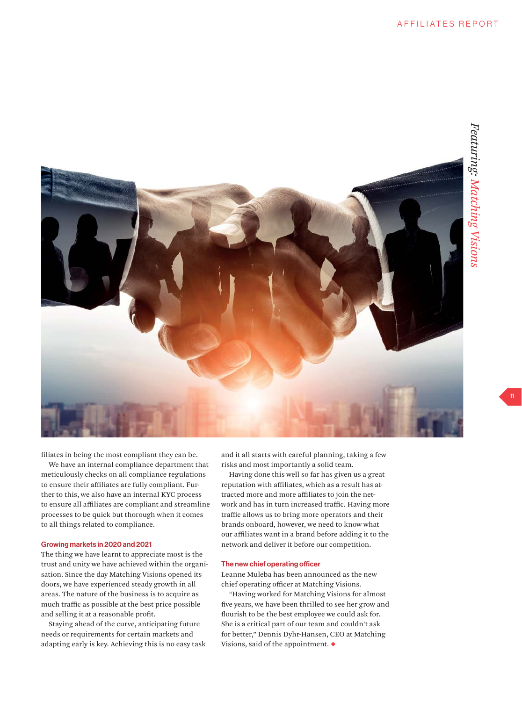

filiates in being the most compliant they can be.

We have an internal compliance department that meticulously checks on all compliance regulations to ensure their affiliates are fully compliant. Further to this, we also have an internal KYC process to ensure all affiliates are compliant and streamline processes to be quick but thorough when it comes to all things related to compliance.

#### Growing markets in 2020 and 2021

The thing we have learnt to appreciate most is the trust and unity we have achieved within the organisation. Since the day Matching Visions opened its doors, we have experienced steady growth in all areas. The nature of the business is to acquire as much traffic as possible at the best price possible and selling it at a reasonable profit.

Staying ahead of the curve, anticipating future needs or requirements for certain markets and adapting early is key. Achieving this is no easy task and it all starts with careful planning, taking a few risks and most importantly a solid team.

Having done this well so far has given us a great reputation with affiliates, which as a result has attracted more and more affiliates to join the network and has in turn increased traffic. Having more traffic allows us to bring more operators and their brands onboard, however, we need to know what our affiliates want in a brand before adding it to the network and deliver it before our competition.

#### The new chief operating officer

Leanne Muleba has been announced as the new chief operating officer at Matching Visions.

"Having worked for Matching Visions for almost five years, we have been thrilled to see her grow and flourish to be the best employee we could ask for. She is a critical part of our team and couldn't ask for better," Dennis Dyhr-Hansen, CEO at Matching Visions, said of the appointment.  $\blacklozenge$